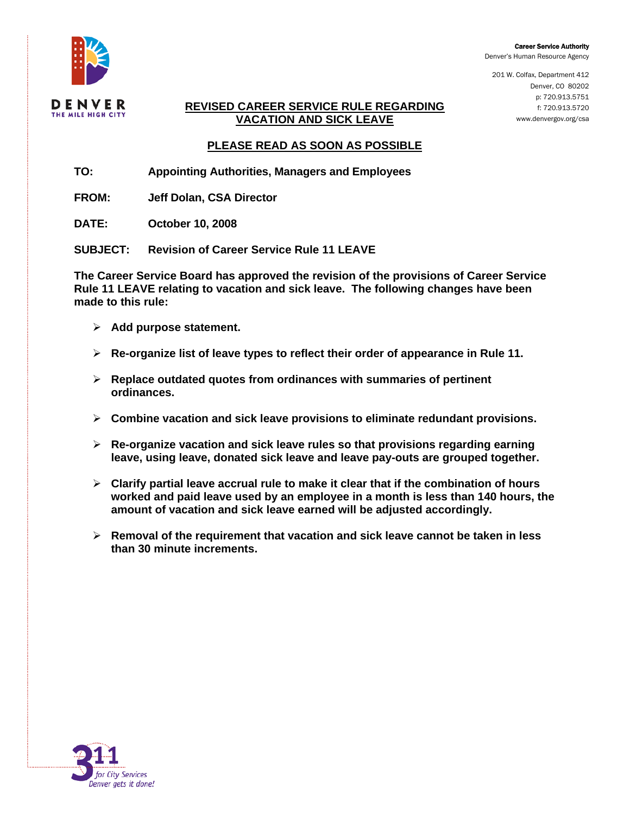

Career Service Authority

Denver's Human Resource Agency

201 W. Colfax, Department 412 Denver, CO 80202 p: 720.913.5751 f: 720.913.5720 www.denvergov.org/csa

#### **REVISED CAREER SERVICE RULE REGARDING VACATION AND SICK LEAVE**

# **PLEASE READ AS SOON AS POSSIBLE**

- **TO: Appointing Authorities, Managers and Employees**
- **FROM: Jeff Dolan, CSA Director**
- **DATE: October 10, 2008**

**SUBJECT: Revision of Career Service Rule 11 LEAVE** 

**The Career Service Board has approved the revision of the provisions of Career Service Rule 11 LEAVE relating to vacation and sick leave. The following changes have been made to this rule:** 

- ¾ **Add purpose statement.**
- ¾ **Re-organize list of leave types to reflect their order of appearance in Rule 11.**
- ¾ **Replace outdated quotes from ordinances with summaries of pertinent ordinances.**
- ¾ **Combine vacation and sick leave provisions to eliminate redundant provisions.**
- ¾ **Re-organize vacation and sick leave rules so that provisions regarding earning leave, using leave, donated sick leave and leave pay-outs are grouped together.**
- ¾ **Clarify partial leave accrual rule to make it clear that if the combination of hours worked and paid leave used by an employee in a month is less than 140 hours, the amount of vacation and sick leave earned will be adjusted accordingly.**
- ¾ **Removal of the requirement that vacation and sick leave cannot be taken in less than 30 minute increments.**

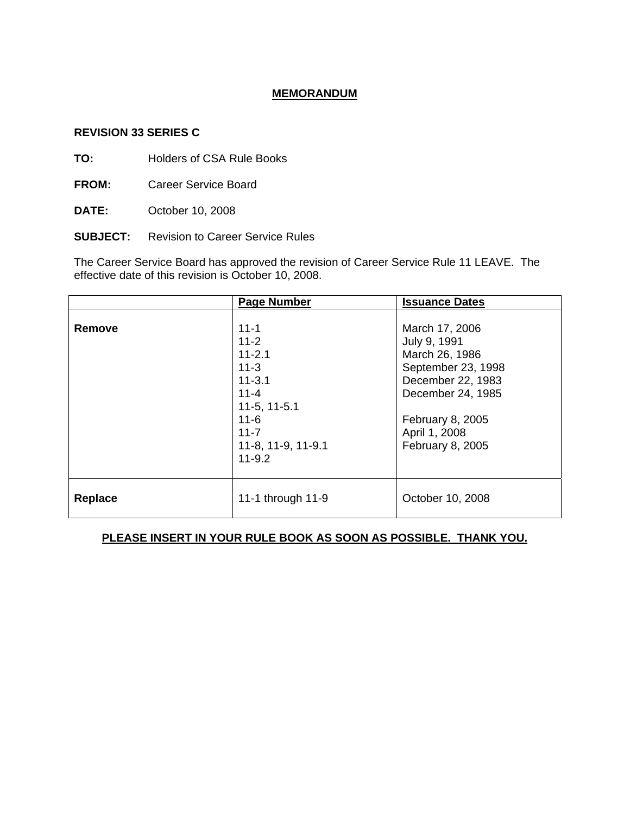### **MEMORANDUM**

#### **REVISION 33 SERIES C**

**TO:** Holders of CSA Rule Books

**FROM:** Career Service Board

- **DATE:** October 10, 2008
- **SUBJECT:** Revision to Career Service Rules

The Career Service Board has approved the revision of Career Service Rule 11 LEAVE. The effective date of this revision is October 10, 2008.

|                | <b>Page Number</b>                                                                                                                                     | <b>Issuance Dates</b>                                                                                                                                                     |
|----------------|--------------------------------------------------------------------------------------------------------------------------------------------------------|---------------------------------------------------------------------------------------------------------------------------------------------------------------------------|
| <b>Remove</b>  | $11 - 1$<br>$11 - 2$<br>$11 - 2.1$<br>$11 - 3$<br>$11 - 3.1$<br>$11 - 4$<br>$11-5, 11-5.1$<br>$11 - 6$<br>$11 - 7$<br>11-8, 11-9, 11-9.1<br>$11 - 9.2$ | March 17, 2006<br>July 9, 1991<br>March 26, 1986<br>September 23, 1998<br>December 22, 1983<br>December 24, 1985<br>February 8, 2005<br>April 1, 2008<br>February 8, 2005 |
| <b>Replace</b> | 11-1 through 11-9                                                                                                                                      | October 10, 2008                                                                                                                                                          |

### **PLEASE INSERT IN YOUR RULE BOOK AS SOON AS POSSIBLE. THANK YOU.**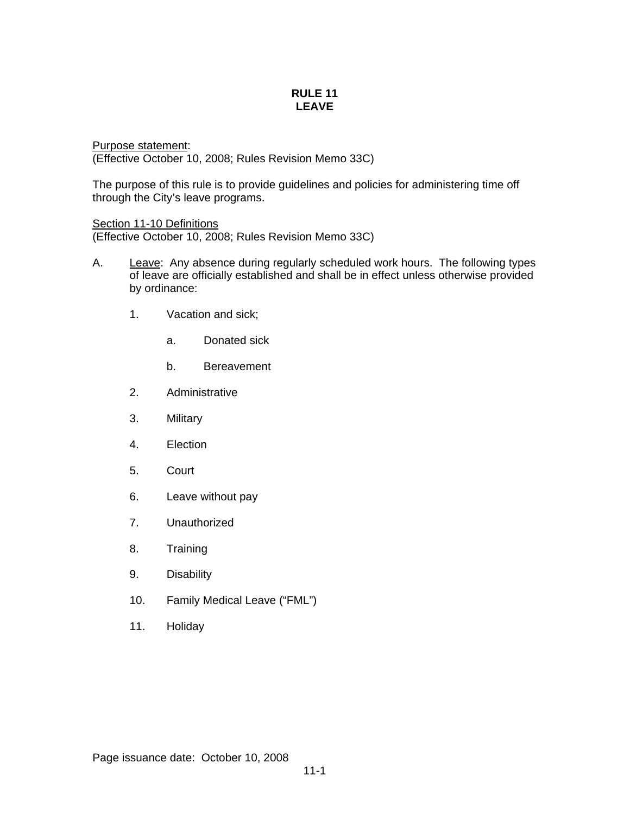#### **RULE 11 LEAVE**

Purpose statement: (Effective October 10, 2008; Rules Revision Memo 33C)

The purpose of this rule is to provide guidelines and policies for administering time off through the City's leave programs.

Section 11-10 Definitions

(Effective October 10, 2008; Rules Revision Memo 33C)

- A. Leave: Any absence during regularly scheduled work hours. The following types of leave are officially established and shall be in effect unless otherwise provided by ordinance:
	- 1. Vacation and sick;
		- a. Donated sick
		- b. Bereavement
	- 2. Administrative
	- 3. Military
	- 4. Election
	- 5. Court
	- 6. Leave without pay
	- 7. Unauthorized
	- 8. Training
	- 9. Disability
	- 10. Family Medical Leave ("FML")
	- 11. Holiday

Page issuance date: October 10, 2008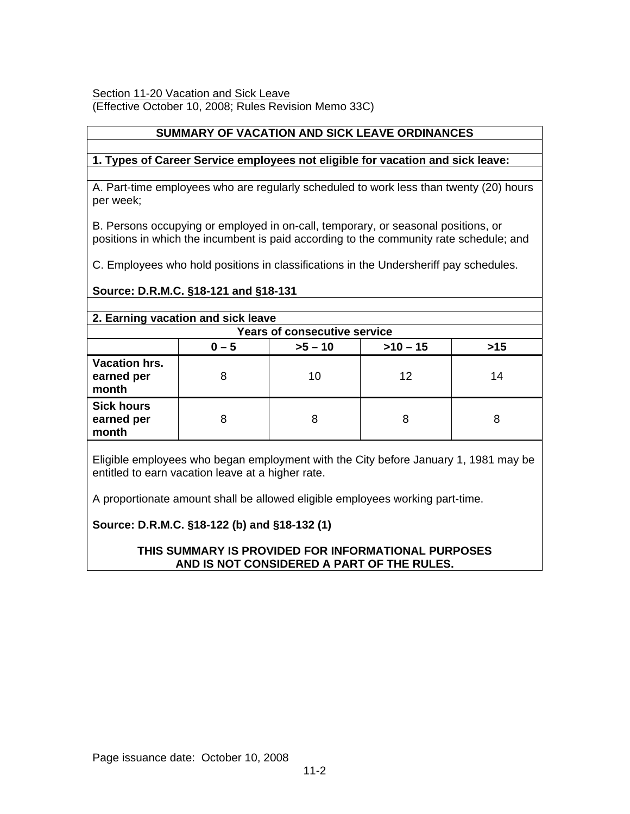### Section 11-20 Vacation and Sick Leave

(Effective October 10, 2008; Rules Revision Memo 33C)

### **SUMMARY OF VACATION AND SICK LEAVE ORDINANCES**

### **1. Types of Career Service employees not eligible for vacation and sick leave:**

A. Part-time employees who are regularly scheduled to work less than twenty (20) hours per week;

B. Persons occupying or employed in on-call, temporary, or seasonal positions, or positions in which the incumbent is paid according to the community rate schedule; and

C. Employees who hold positions in classifications in the Undersheriff pay schedules.

# **Source: D.R.M.C. §18-121 and §18-131**

#### **2. Earning vacation and sick leave Years of consecutive service**   $0 - 5$  |  $>5 - 10$  |  $>10 - 15$  |  $>15$ **Vacation hrs. earned per month**  8 10 12 14 **Sick hours earned per month**  8 | 8 | 8 | 8

Eligible employees who began employment with the City before January 1, 1981 may be entitled to earn vacation leave at a higher rate.

A proportionate amount shall be allowed eligible employees working part-time.

### **Source: D.R.M.C. §18-122 (b) and §18-132 (1)**

## **THIS SUMMARY IS PROVIDED FOR INFORMATIONAL PURPOSES AND IS NOT CONSIDERED A PART OF THE RULES.**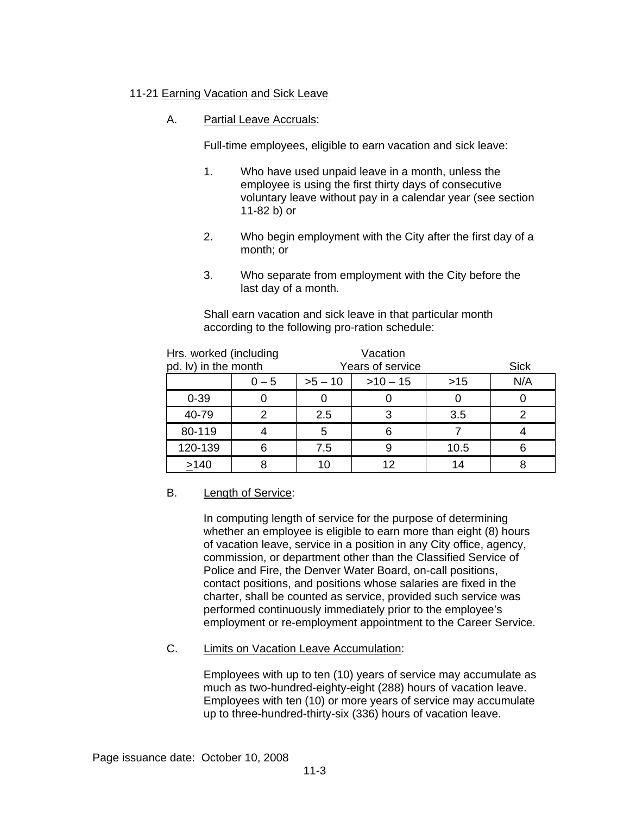### 11-21 Earning Vacation and Sick Leave

### A. Partial Leave Accruals:

Full-time employees, eligible to earn vacation and sick leave:

- 1. Who have used unpaid leave in a month, unless the employee is using the first thirty days of consecutive voluntary leave without pay in a calendar year (see section 11-82 b) or
- 2. Who begin employment with the City after the first day of a month; or
- 3. Who separate from employment with the City before the last day of a month.

Shall earn vacation and sick leave in that particular month according to the following pro-ration schedule:

| Hrs. worked (including |         | <b>Vacation</b> |                  |       |             |
|------------------------|---------|-----------------|------------------|-------|-------------|
| pd. Iv) in the month   |         |                 | Years of service |       | <b>Sick</b> |
|                        | $0 - 5$ | $>5 - 10$       | $>10 - 15$       | $>15$ | N/A         |
| $0 - 39$               |         |                 |                  |       |             |
| 40-79                  | ົ       | 2.5             | 3                | 3.5   |             |
| 80-119                 |         | 5               | 6                |       |             |
| 120-139                | 6       | 7.5             |                  | 10.5  | 6           |
| >140                   |         | 10              |                  | 14    |             |

### B. Length of Service:

In computing length of service for the purpose of determining whether an employee is eligible to earn more than eight (8) hours of vacation leave, service in a position in any City office, agency, commission, or department other than the Classified Service of Police and Fire, the Denver Water Board, on-call positions, contact positions, and positions whose salaries are fixed in the charter, shall be counted as service, provided such service was performed continuously immediately prior to the employee's employment or re-employment appointment to the Career Service.

### C. Limits on Vacation Leave Accumulation:

Employees with up to ten (10) years of service may accumulate as much as two-hundred-eighty-eight (288) hours of vacation leave. Employees with ten (10) or more years of service may accumulate up to three-hundred-thirty-six (336) hours of vacation leave.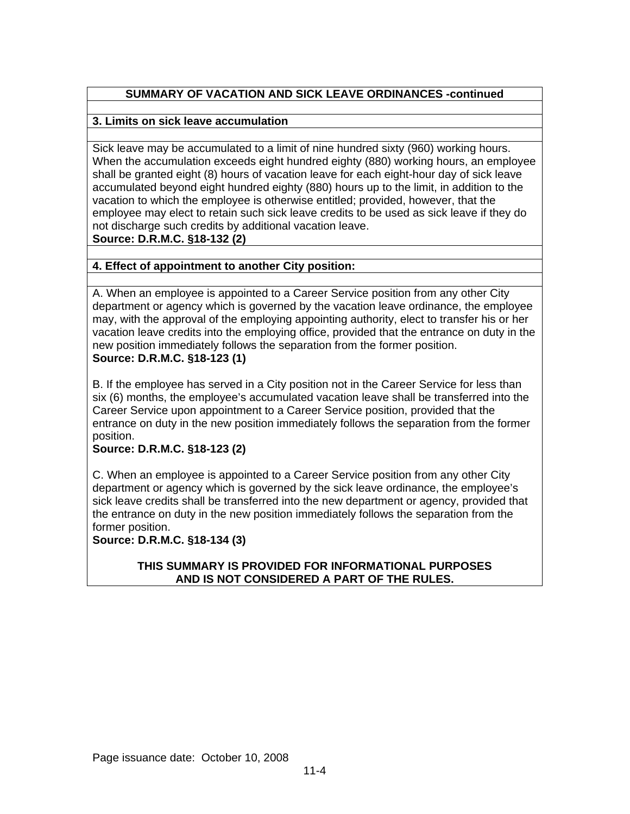# **SUMMARY OF VACATION AND SICK LEAVE ORDINANCES -continued**

# **3. Limits on sick leave accumulation**

Sick leave may be accumulated to a limit of nine hundred sixty (960) working hours. When the accumulation exceeds eight hundred eighty (880) working hours, an employee shall be granted eight (8) hours of vacation leave for each eight-hour day of sick leave accumulated beyond eight hundred eighty (880) hours up to the limit, in addition to the vacation to which the employee is otherwise entitled; provided, however, that the employee may elect to retain such sick leave credits to be used as sick leave if they do not discharge such credits by additional vacation leave. **Source: D.R.M.C. §18-132 (2)**

# **4. Effect of appointment to another City position:**

A. When an employee is appointed to a Career Service position from any other City department or agency which is governed by the vacation leave ordinance, the employee may, with the approval of the employing appointing authority, elect to transfer his or her vacation leave credits into the employing office, provided that the entrance on duty in the new position immediately follows the separation from the former position. **Source: D.R.M.C. §18-123 (1)**

B. If the employee has served in a City position not in the Career Service for less than six (6) months, the employee's accumulated vacation leave shall be transferred into the Career Service upon appointment to a Career Service position, provided that the entrance on duty in the new position immediately follows the separation from the former position.

# **Source: D.R.M.C. §18-123 (2)**

C. When an employee is appointed to a Career Service position from any other City department or agency which is governed by the sick leave ordinance, the employee's sick leave credits shall be transferred into the new department or agency, provided that the entrance on duty in the new position immediately follows the separation from the former position.

# **Source: D.R.M.C. §18-134 (3)**

### **THIS SUMMARY IS PROVIDED FOR INFORMATIONAL PURPOSES AND IS NOT CONSIDERED A PART OF THE RULES.**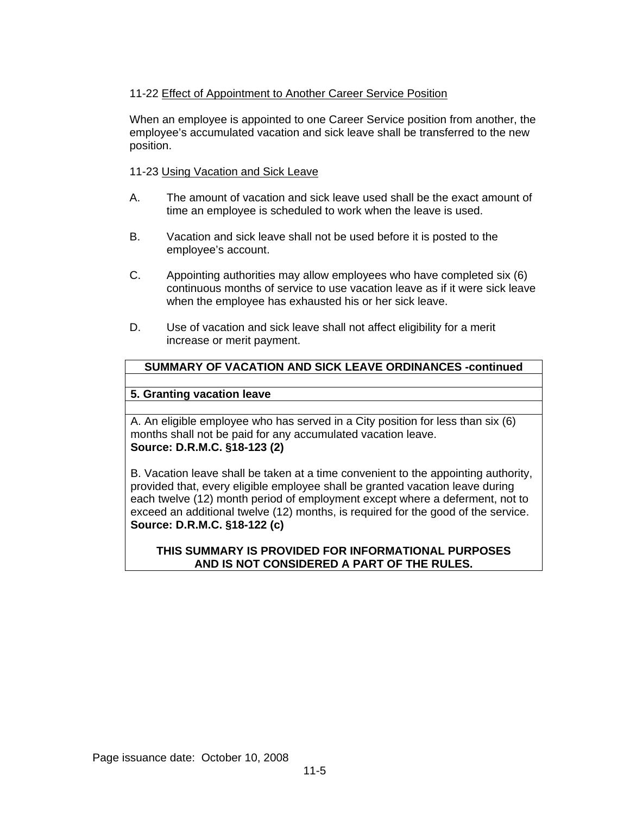# 11-22 Effect of Appointment to Another Career Service Position

When an employee is appointed to one Career Service position from another, the employee's accumulated vacation and sick leave shall be transferred to the new position.

### 11-23 Using Vacation and Sick Leave

- A. The amount of vacation and sick leave used shall be the exact amount of time an employee is scheduled to work when the leave is used.
- B. Vacation and sick leave shall not be used before it is posted to the employee's account.
- C. Appointing authorities may allow employees who have completed six (6) continuous months of service to use vacation leave as if it were sick leave when the employee has exhausted his or her sick leave.
- D. Use of vacation and sick leave shall not affect eligibility for a merit increase or merit payment.

# **SUMMARY OF VACATION AND SICK LEAVE ORDINANCES -continued**

## **5. Granting vacation leave**

A. An eligible employee who has served in a City position for less than six (6) months shall not be paid for any accumulated vacation leave. **Source: D.R.M.C. §18-123 (2)** 

B. Vacation leave shall be taken at a time convenient to the appointing authority, provided that, every eligible employee shall be granted vacation leave during each twelve (12) month period of employment except where a deferment, not to exceed an additional twelve (12) months, is required for the good of the service. **Source: D.R.M.C. §18-122 (c)** 

## **THIS SUMMARY IS PROVIDED FOR INFORMATIONAL PURPOSES AND IS NOT CONSIDERED A PART OF THE RULES.**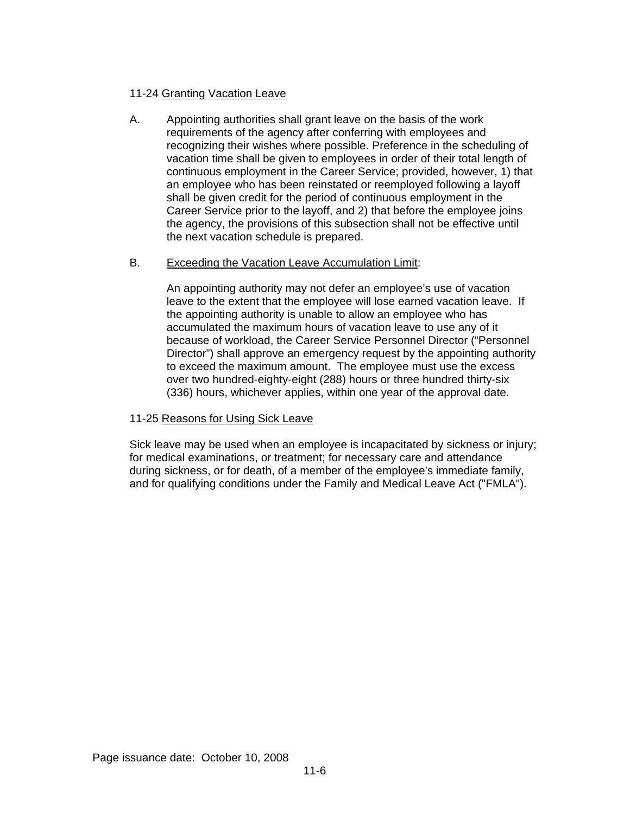## 11-24 Granting Vacation Leave

A. Appointing authorities shall grant leave on the basis of the work requirements of the agency after conferring with employees and recognizing their wishes where possible. Preference in the scheduling of vacation time shall be given to employees in order of their total length of continuous employment in the Career Service; provided, however, 1) that an employee who has been reinstated or reemployed following a layoff shall be given credit for the period of continuous employment in the Career Service prior to the layoff, and 2) that before the employee joins the agency, the provisions of this subsection shall not be effective until the next vacation schedule is prepared.

### B. Exceeding the Vacation Leave Accumulation Limit:

An appointing authority may not defer an employee's use of vacation leave to the extent that the employee will lose earned vacation leave. If the appointing authority is unable to allow an employee who has accumulated the maximum hours of vacation leave to use any of it because of workload, the Career Service Personnel Director ("Personnel Director") shall approve an emergency request by the appointing authority to exceed the maximum amount. The employee must use the excess over two hundred-eighty-eight (288) hours or three hundred thirty-six (336) hours, whichever applies, within one year of the approval date.

### 11-25 Reasons for Using Sick Leave

Sick leave may be used when an employee is incapacitated by sickness or injury; for medical examinations, or treatment; for necessary care and attendance during sickness, or for death, of a member of the employee's immediate family, and for qualifying conditions under the Family and Medical Leave Act ("FMLA").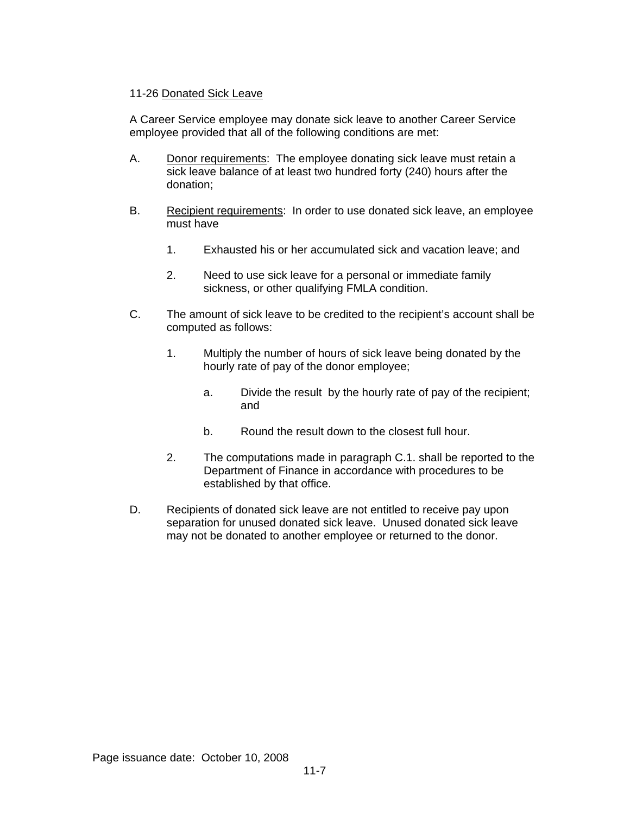### 11-26 Donated Sick Leave

A Career Service employee may donate sick leave to another Career Service employee provided that all of the following conditions are met:

- A. Donor requirements: The employee donating sick leave must retain a sick leave balance of at least two hundred forty (240) hours after the donation;
- B. Recipient requirements: In order to use donated sick leave, an employee must have
	- 1. Exhausted his or her accumulated sick and vacation leave; and
	- 2. Need to use sick leave for a personal or immediate family sickness, or other qualifying FMLA condition.
- C. The amount of sick leave to be credited to the recipient's account shall be computed as follows:
	- 1. Multiply the number of hours of sick leave being donated by the hourly rate of pay of the donor employee;
		- a. Divide the result by the hourly rate of pay of the recipient; and
		- b. Round the result down to the closest full hour.
	- 2. The computations made in paragraph C.1. shall be reported to the Department of Finance in accordance with procedures to be established by that office.
- D. Recipients of donated sick leave are not entitled to receive pay upon separation for unused donated sick leave. Unused donated sick leave may not be donated to another employee or returned to the donor.

Page issuance date: October 10, 2008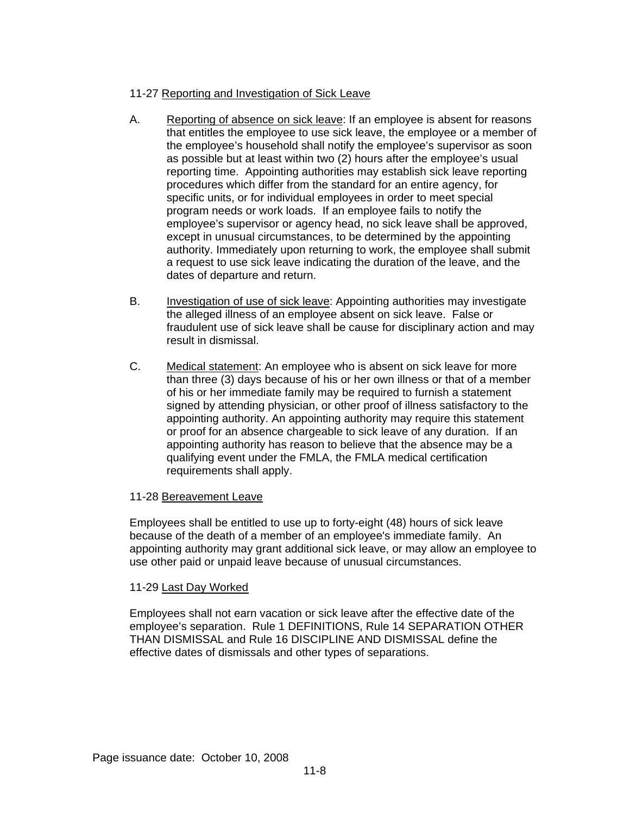# 11-27 Reporting and Investigation of Sick Leave

- A. Reporting of absence on sick leave: If an employee is absent for reasons that entitles the employee to use sick leave, the employee or a member of the employee's household shall notify the employee's supervisor as soon as possible but at least within two (2) hours after the employee's usual reporting time. Appointing authorities may establish sick leave reporting procedures which differ from the standard for an entire agency, for specific units, or for individual employees in order to meet special program needs or work loads. If an employee fails to notify the employee's supervisor or agency head, no sick leave shall be approved, except in unusual circumstances, to be determined by the appointing authority. Immediately upon returning to work, the employee shall submit a request to use sick leave indicating the duration of the leave, and the dates of departure and return.
- B. Investigation of use of sick leave: Appointing authorities may investigate the alleged illness of an employee absent on sick leave. False or fraudulent use of sick leave shall be cause for disciplinary action and may result in dismissal.
- C. Medical statement: An employee who is absent on sick leave for more than three (3) days because of his or her own illness or that of a member of his or her immediate family may be required to furnish a statement signed by attending physician, or other proof of illness satisfactory to the appointing authority. An appointing authority may require this statement or proof for an absence chargeable to sick leave of any duration. If an appointing authority has reason to believe that the absence may be a qualifying event under the FMLA, the FMLA medical certification requirements shall apply.

### 11-28 Bereavement Leave

Employees shall be entitled to use up to forty-eight (48) hours of sick leave because of the death of a member of an employee's immediate family. An appointing authority may grant additional sick leave, or may allow an employee to use other paid or unpaid leave because of unusual circumstances.

### 11-29 Last Day Worked

Employees shall not earn vacation or sick leave after the effective date of the employee's separation. Rule 1 DEFINITIONS, Rule 14 SEPARATION OTHER THAN DISMISSAL and Rule 16 DISCIPLINE AND DISMISSAL define the effective dates of dismissals and other types of separations.